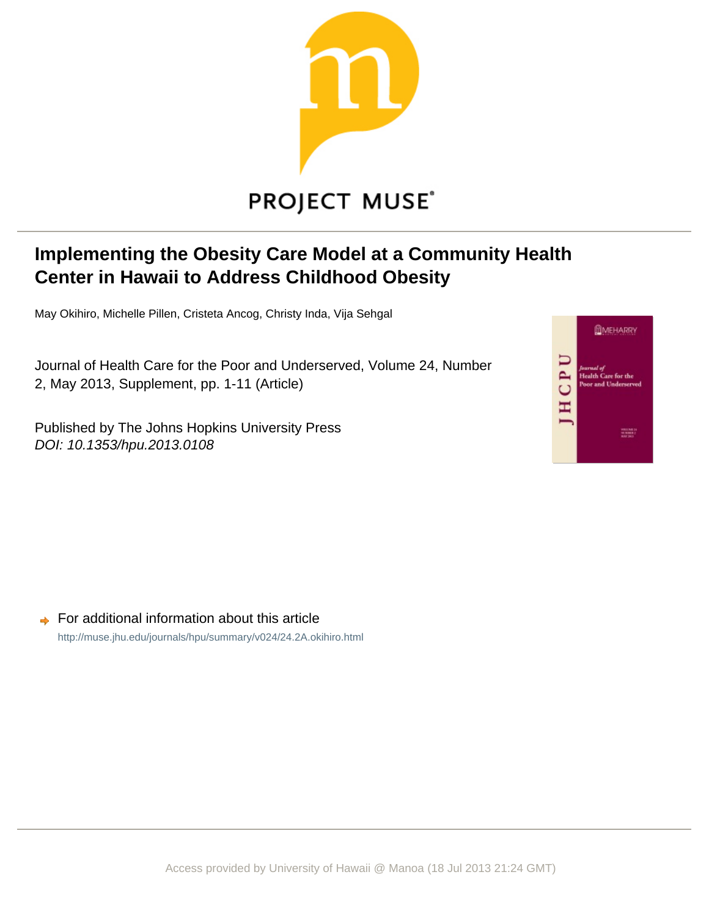

# **Implementing the Obesity Care Model at a Community Health Center in Hawaii to Address Childhood Obesity**

May Okihiro, Michelle Pillen, Cristeta Ancog, Christy Inda, Vija Sehgal

Journal of Health Care for the Poor and Underserved, Volume 24, Number 2, May 2013, Supplement, pp. 1-11 (Article)

Published by The Johns Hopkins University Press DOI: 10.1353/hpu.2013.0108



**►** For additional information about this article <http://muse.jhu.edu/journals/hpu/summary/v024/24.2A.okihiro.html>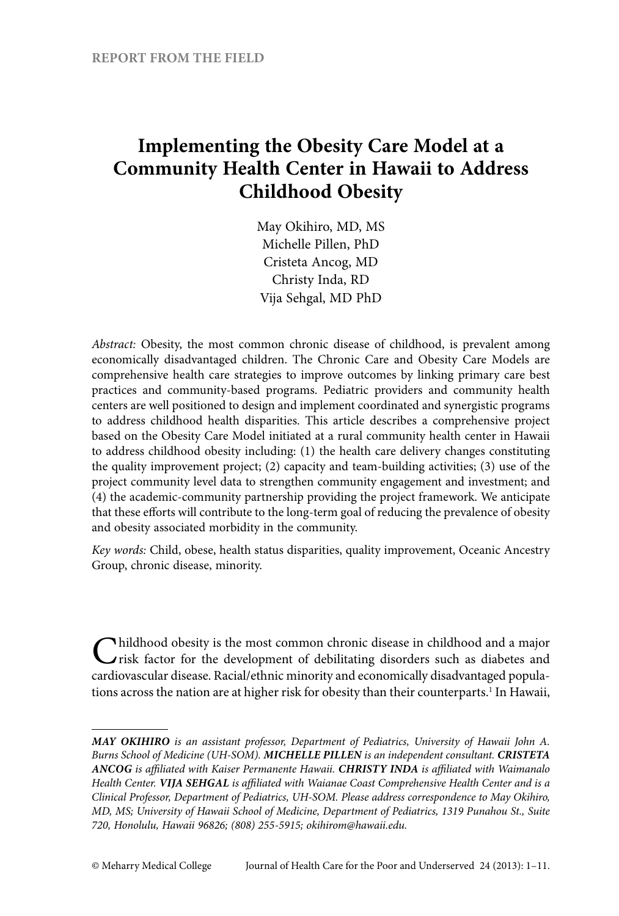# **Implementing the Obesity Care Model at a Community Health Center in Hawaii to Address Childhood Obesity**

May Okihiro, MD, MS Michelle Pillen, PhD Cristeta Ancog, MD Christy Inda, RD Vija Sehgal, MD PhD

*Abstract:* Obesity, the most common chronic disease of childhood, is prevalent among economically disadvantaged children. The Chronic Care and Obesity Care Models are comprehensive health care strategies to improve outcomes by linking primary care best practices and community-based programs. Pediatric providers and community health centers are well positioned to design and implement coordinated and synergistic programs to address childhood health disparities. This article describes a comprehensive project based on the Obesity Care Model initiated at a rural community health center in Hawaii to address childhood obesity including: (1) the health care delivery changes constituting the quality improvement project; (2) capacity and team- building activities; (3) use of the project community level data to strengthen community engagement and investment; and (4) the academic- community partnership providing the project framework. We anticipate that these efforts will contribute to the long-term goal of reducing the prevalence of obesity and obesity associated morbidity in the community.

*Key words:* Child, obese, health status disparities, quality improvement, Oceanic Ancestry Group, chronic disease, minority.

Childhood obesity is the most common chronic disease in childhood and a major<br>Crisk factor for the development of Jak Warehouse in Childhood and a major risk factor for the development of debilitating disorders such as diabetes and cardiovascular disease. Racial/ethnic minority and economically disadvantaged populations across the nation are at higher risk for obesity than their counterparts.<sup>1</sup> In Hawaii,

*MAY OKIHIRO is an assistant professor, Department of Pediatrics, University of Hawaii John A. Burns School of Medicine (UH- SOM). MICHELLE PILLEN is an independent consultant. CRISTETA ANCOG is affi liated with Kaiser Permanente Hawaii. CHRISTY INDA is affi liated with Waimanalo Health Center. VIJA SEHGAL is affi liated with Waianae Coast Comprehensive Health Center and is a Clinical Professor, Department of Pediatrics, UH- SOM. Please address correspondence to May Okihiro, MD, MS; University of Hawaii School of Medicine, Department of Pediatrics, 1319 Punahou St., Suite 720, Honolulu, Hawaii 96826; (808) 255-5915; okihirom@hawaii.edu.*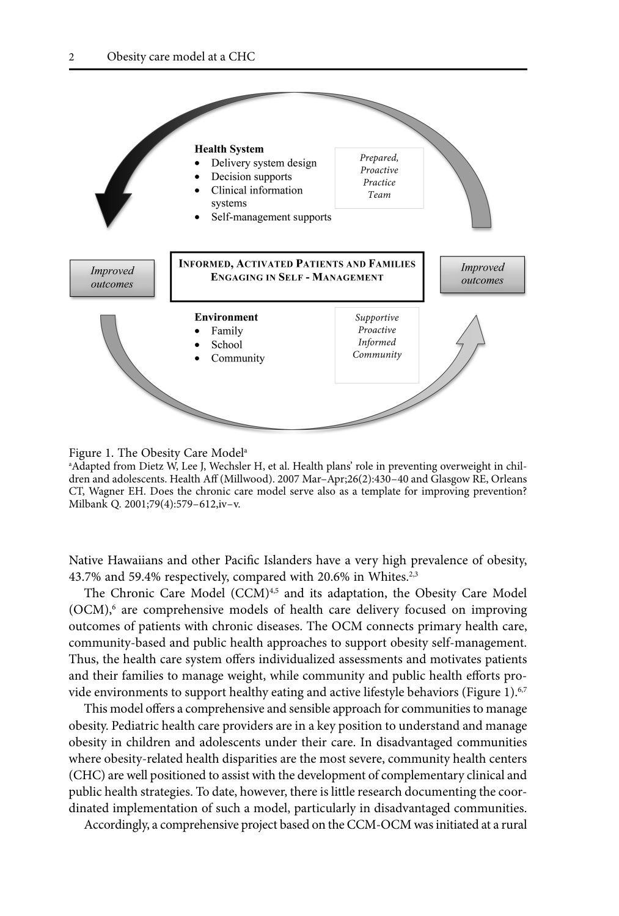



a Adapted from Dietz W, Lee J, Wechsler H, et al. Health plans' role in preventing overweight in children and adolescents. Health Aff (Millwood). 2007 Mar–Apr;26(2):430–40 and Glasgow RE, Orleans CT, Wagner EH. Does the chronic care model serve also as a template for improving prevention? Milbank Q. 2001;79(4):579–612,iv–v.

Native Hawaiians and other Pacific Islanders have a very high prevalence of obesity, 43.7% and 59.4% respectively, compared with 20.6% in Whites.<sup>2,3</sup>

The Chronic Care Model (CCM)<sup>4,5</sup> and its adaptation, the Obesity Care Model (OCM),<sup>6</sup> are comprehensive models of health care delivery focused on improving outcomes of patients with chronic diseases. The OCM connects primary health care, community- based and public health approaches to support obesity self- management. Thus, the health care system offers individualized assessments and motivates patients and their families to manage weight, while community and public health efforts provide environments to support healthy eating and active lifestyle behaviors (Figure 1).<sup>6,7</sup>

This model offers a comprehensive and sensible approach for communities to manage obesity. Pediatric health care providers are in a key position to understand and manage obesity in children and adolescents under their care. In disadvantaged communities where obesity- related health disparities are the most severe, community health centers (CHC) are well positioned to assist with the development of complementary clinical and public health strategies. To date, however, there is little research documenting the coordinated implementation of such a model, particularly in disadvantaged communities.

Accordingly, a comprehensive project based on the CCM- OCM was initiated at a rural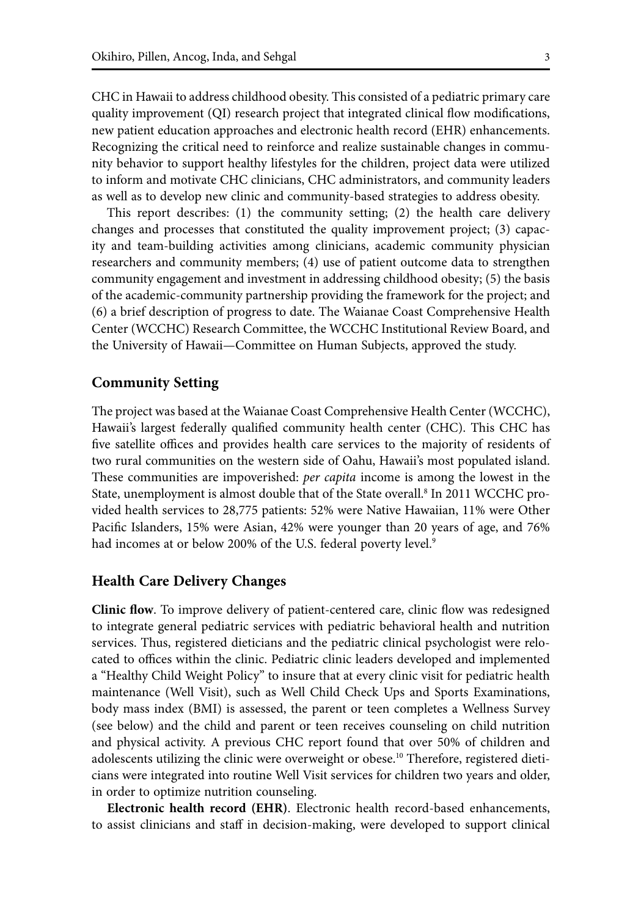CHC in Hawaii to address childhood obesity. This consisted of a pediatric primary care quality improvement (QI) research project that integrated clinical flow modifications, new patient education approaches and electronic health record (EHR) enhancements. Recognizing the critical need to reinforce and realize sustainable changes in community behavior to support healthy lifestyles for the children, project data were utilized to inform and motivate CHC clinicians, CHC administrators, and community leaders as well as to develop new clinic and community- based strategies to address obesity.

This report describes: (1) the community setting; (2) the health care delivery changes and processes that constituted the quality improvement project; (3) capacity and team- building activities among clinicians, academic community physician researchers and community members; (4) use of patient outcome data to strengthen community engagement and investment in addressing childhood obesity; (5) the basis of the academic- community partnership providing the framework for the project; and (6) a brief description of progress to date. The Waianae Coast Comprehensive Health Center (WCCHC) Research Committee, the WCCHC Institutional Review Board, and the University of Hawaii—Committee on Human Subjects, approved the study.

#### **Community Setting**

The project was based at the Waianae Coast Comprehensive Health Center (WCCHC), Hawaii's largest federally qualified community health center (CHC). This CHC has five satellite offices and provides health care services to the majority of residents of two rural communities on the western side of Oahu, Hawaii's most populated island. These communities are impoverished: *per capita* income is among the lowest in the State, unemployment is almost double that of the State overall.<sup>8</sup> In 2011 WCCHC provided health services to 28,775 patients: 52% were Native Hawaiian, 11% were Other Pacific Islanders, 15% were Asian, 42% were younger than 20 years of age, and 76% had incomes at or below 200% of the U.S. federal poverty level.<sup>9</sup>

### **Health Care Delivery Changes**

**Clinic flow**. To improve delivery of patient-centered care, clinic flow was redesigned to integrate general pediatric services with pediatric behavioral health and nutrition services. Thus, registered dieticians and the pediatric clinical psychologist were relocated to offices within the clinic. Pediatric clinic leaders developed and implemented a "Healthy Child Weight Policy" to insure that at every clinic visit for pediatric health maintenance (Well Visit), such as Well Child Check Ups and Sports Examinations, body mass index (BMI) is assessed, the parent or teen completes a Wellness Survey (see below) and the child and parent or teen receives counseling on child nutrition and physical activity. A previous CHC report found that over 50% of children and adolescents utilizing the clinic were overweight or obese.<sup>10</sup> Therefore, registered dieticians were integrated into routine Well Visit services for children two years and older, in order to optimize nutrition counseling.

**Electronic health record (EHR)**. Electronic health record- based enhancements, to assist clinicians and staff in decision- making, were developed to support clinical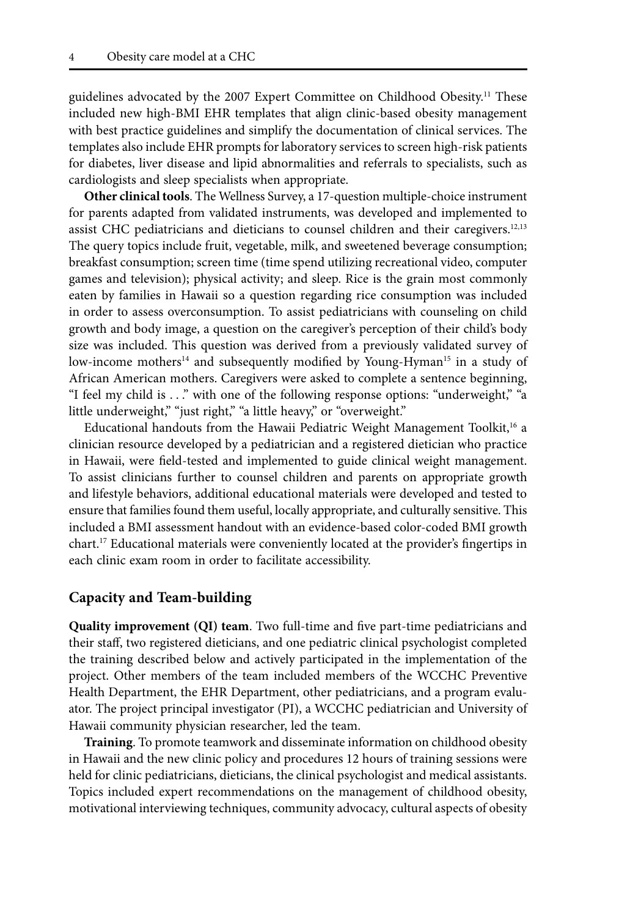guidelines advocated by the 2007 Expert Committee on Childhood Obesity.<sup>11</sup> These included new high- BMI EHR templates that align clinic- based obesity management with best practice guidelines and simplify the documentation of clinical services. The templates also include EHR prompts for laboratory services to screen high- risk patients for diabetes, liver disease and lipid abnormalities and referrals to specialists, such as cardiologists and sleep specialists when appropriate.

**Other clinical tools**. The Wellness Survey, a 17- question multiple- choice instrument for parents adapted from validated instruments, was developed and implemented to assist CHC pediatricians and dieticians to counsel children and their caregivers.<sup>12,13</sup> The query topics include fruit, vegetable, milk, and sweetened beverage consumption; breakfast consumption; screen time (time spend utilizing recreational video, computer games and television); physical activity; and sleep. Rice is the grain most commonly eaten by families in Hawaii so a question regarding rice consumption was included in order to assess overconsumption. To assist pediatricians with counseling on child growth and body image, a question on the caregiver's perception of their child's body size was included. This question was derived from a previously validated survey of low-income mothers<sup>14</sup> and subsequently modified by Young-Hyman<sup>15</sup> in a study of African American mothers. Caregivers were asked to complete a sentence beginning, "I feel my child is . . ." with one of the following response options: "underweight," "a little underweight," "just right," "a little heavy," or "overweight."

Educational handouts from the Hawaii Pediatric Weight Management Toolkit,<sup>16</sup> a clinician resource developed by a pediatrician and a registered dietician who practice in Hawaii, were field-tested and implemented to guide clinical weight management. To assist clinicians further to counsel children and parents on appropriate growth and lifestyle behaviors, additional educational materials were developed and tested to ensure that families found them useful, locally appropriate, and culturally sensitive. This included a BMI assessment handout with an evidence- based color- coded BMI growth chart.<sup>17</sup> Educational materials were conveniently located at the provider's fingertips in each clinic exam room in order to facilitate accessibility.

#### **Capacity and Team- building**

**Quality improvement (QI) team**. Two full-time and five part-time pediatricians and their staff, two registered dieticians, and one pediatric clinical psychologist completed the training described below and actively participated in the implementation of the project. Other members of the team included members of the WCCHC Preventive Health Department, the EHR Department, other pediatricians, and a program evaluator. The project principal investigator (PI), a WCCHC pediatrician and University of Hawaii community physician researcher, led the team.

**Training**. To promote teamwork and disseminate information on childhood obesity in Hawaii and the new clinic policy and procedures 12 hours of training sessions were held for clinic pediatricians, dieticians, the clinical psychologist and medical assistants. Topics included expert recommendations on the management of childhood obesity, motivational interviewing techniques, community advocacy, cultural aspects of obesity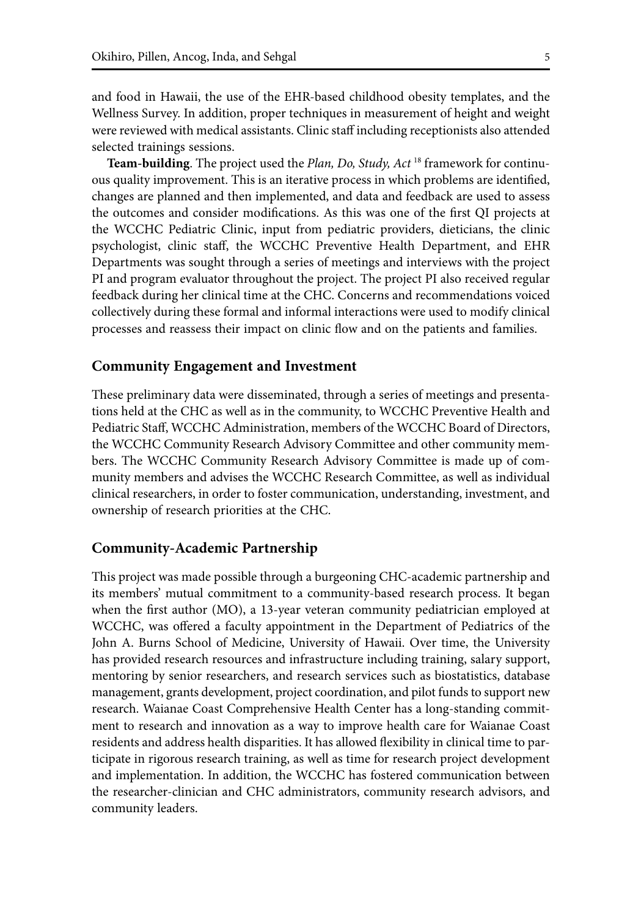and food in Hawaii, the use of the EHR- based childhood obesity templates, and the Wellness Survey. In addition, proper techniques in measurement of height and weight were reviewed with medical assistants. Clinic staff including receptionists also attended selected trainings sessions.

**Team- building**. The project used the *Plan, Do, Study, Act* 18 framework for continuous quality improvement. This is an iterative process in which problems are identified, changes are planned and then implemented, and data and feedback are used to assess the outcomes and consider modifications. As this was one of the first QI projects at the WCCHC Pediatric Clinic, input from pediatric providers, dieticians, the clinic psychologist, clinic staff, the WCCHC Preventive Health Department, and EHR Departments was sought through a series of meetings and interviews with the project PI and program evaluator throughout the project. The project PI also received regular feedback during her clinical time at the CHC. Concerns and recommendations voiced collectively during these formal and informal interactions were used to modify clinical processes and reassess their impact on clinic flow and on the patients and families.

#### **Community Engagement and Investment**

These preliminary data were disseminated, through a series of meetings and presentations held at the CHC as well as in the community, to WCCHC Preventive Health and Pediatric Staff, WCCHC Administration, members of the WCCHC Board of Directors, the WCCHC Community Research Advisory Committee and other community members. The WCCHC Community Research Advisory Committee is made up of community members and advises the WCCHC Research Committee, as well as individual clinical researchers, in order to foster communication, understanding, investment, and ownership of research priorities at the CHC.

#### **Community- Academic Partnership**

This project was made possible through a burgeoning CHC- academic partnership and its members' mutual commitment to a community-based research process. It began when the first author (MO), a 13-year veteran community pediatrician employed at WCCHC, was offered a faculty appointment in the Department of Pediatrics of the John A. Burns School of Medicine, University of Hawaii. Over time, the University has provided research resources and infrastructure including training, salary support, mentoring by senior researchers, and research services such as biostatistics, database management, grants development, project coordination, and pilot funds to support new research. Waianae Coast Comprehensive Health Center has a long- standing commitment to research and innovation as a way to improve health care for Waianae Coast residents and address health disparities. It has allowed flexibility in clinical time to participate in rigorous research training, as well as time for research project development and implementation. In addition, the WCCHC has fostered communication between the researcher- clinician and CHC administrators, community research advisors, and community leaders.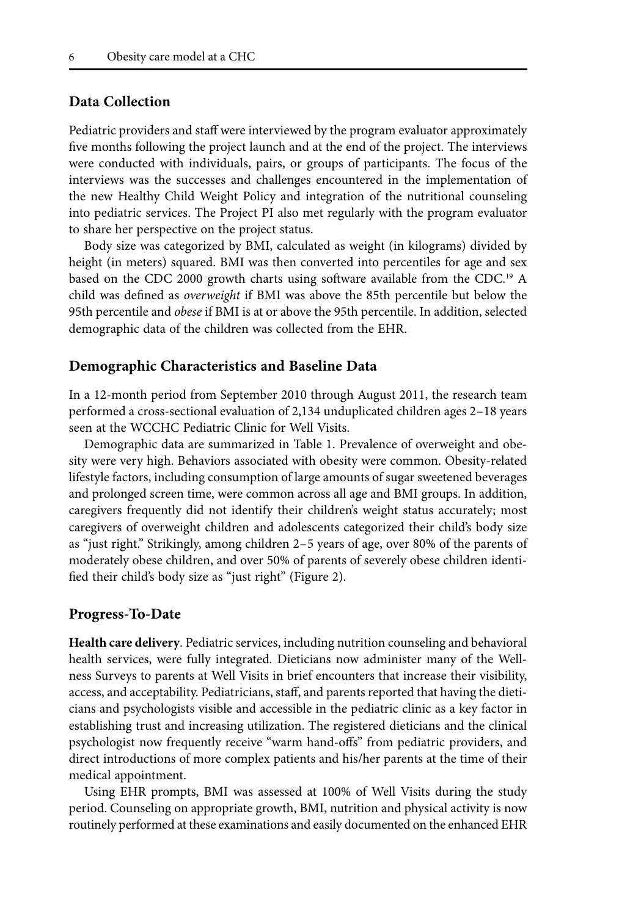### **Data Collection**

Pediatric providers and staff were interviewed by the program evaluator approximately five months following the project launch and at the end of the project. The interviews were conducted with individuals, pairs, or groups of participants. The focus of the interviews was the successes and challenges encountered in the implementation of the new Healthy Child Weight Policy and integration of the nutritional counseling into pediatric services. The Project PI also met regularly with the program evaluator to share her perspective on the project status.

Body size was categorized by BMI, calculated as weight (in kilograms) divided by height (in meters) squared. BMI was then converted into percentiles for age and sex based on the CDC 2000 growth charts using software available from the CDC.<sup>19</sup> A child was defined as *overweight* if BMI was above the 85th percentile but below the 95th percentile and *obese* if BMI is at or above the 95th percentile. In addition, selected demographic data of the children was collected from the EHR.

#### **Demographic Characteristics and Baseline Data**

In a 12- month period from September 2010 through August 2011, the research team performed a cross- sectional evaluation of 2,134 unduplicated children ages 2–18 years seen at the WCCHC Pediatric Clinic for Well Visits.

Demographic data are summarized in Table 1. Prevalence of overweight and obesity were very high. Behaviors associated with obesity were common. Obesity- related lifestyle factors, including consumption of large amounts of sugar sweetened beverages and prolonged screen time, were common across all age and BMI groups. In addition, caregivers frequently did not identify their children's weight status accurately; most caregivers of overweight children and adolescents categorized their child's body size as "just right." Strikingly, among children 2–5 years of age, over 80% of the parents of moderately obese children, and over 50% of parents of severely obese children identified their child's body size as "just right" (Figure 2).

#### **Progress- To- Date**

**Health care delivery**. Pediatric services, including nutrition counseling and behavioral health services, were fully integrated. Dieticians now administer many of the Wellness Surveys to parents at Well Visits in brief encounters that increase their visibility, access, and acceptability. Pediatricians, staff, and parents reported that having the dieticians and psychologists visible and accessible in the pediatric clinic as a key factor in establishing trust and increasing utilization. The registered dieticians and the clinical psychologist now frequently receive "warm hand-offs" from pediatric providers, and direct introductions of more complex patients and his/her parents at the time of their medical appointment.

Using EHR prompts, BMI was assessed at 100% of Well Visits during the study period. Counseling on appropriate growth, BMI, nutrition and physical activity is now routinely performed at these examinations and easily documented on the enhanced EHR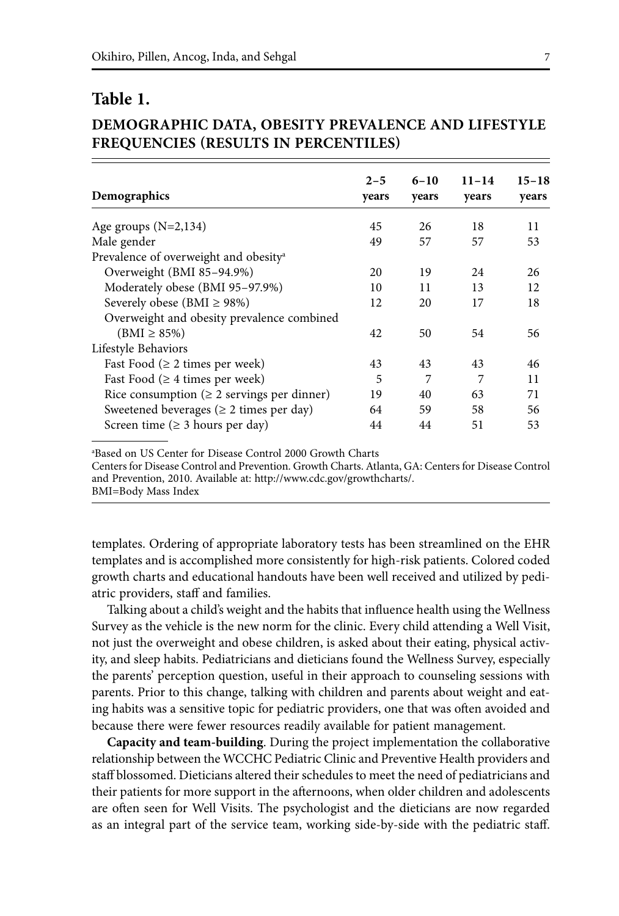## **Table 1.**

# **DEMOGRAPHIC DATA, OBESITY PREVALENCE AND LIFESTYLE FREQUENCIES (RESULTS IN PERCENTILES)**

| Demographics                                      | $2 - 5$<br>years | $6 - 10$<br>years | $11 - 14$<br>years | $15 - 18$<br>years |
|---------------------------------------------------|------------------|-------------------|--------------------|--------------------|
|                                                   |                  |                   |                    |                    |
| Male gender                                       | 49               | 57                | 57                 | 53                 |
| Prevalence of overweight and obesity <sup>a</sup> |                  |                   |                    |                    |
| Overweight (BMI 85-94.9%)                         | 20               | 19                | 24                 | 26                 |
| Moderately obese (BMI 95-97.9%)                   | 10               | 11                | 13                 | 12                 |
| Severely obese (BMI $\geq$ 98%)                   | 12               | 20                | 17                 | 18                 |
| Overweight and obesity prevalence combined        |                  |                   |                    |                    |
| $(BMI \geq 85\%)$                                 | 42               | 50                | 54                 | 56                 |
| Lifestyle Behaviors                               |                  |                   |                    |                    |
| Fast Food ( $\geq$ 2 times per week)              | 43               | 43                | 43                 | 46                 |
| Fast Food ( $\geq 4$ times per week)              | 5                | 7                 | 7                  | 11                 |
| Rice consumption ( $\geq 2$ servings per dinner)  | 19               | 40                | 63                 | 71                 |
| Sweetened beverages ( $\geq$ 2 times per day)     | 64               | 59                | 58                 | 56                 |
| Screen time ( $\geq$ 3 hours per day)             | 44               | 44                | 51                 | 53                 |

a Based on US Center for Disease Control 2000 Growth Charts

Centers for Disease Control and Prevention. Growth Charts. Atlanta, GA: Centers for Disease Control and Prevention, 2010. Available at: http://www.cdc.gov/growthcharts/.

BMI=Body Mass Index

templates. Ordering of appropriate laboratory tests has been streamlined on the EHR templates and is accomplished more consistently for high- risk patients. Colored coded growth charts and educational handouts have been well received and utilized by pediatric providers, staff and families.

Talking about a child's weight and the habits that influence health using the Wellness Survey as the vehicle is the new norm for the clinic. Every child attending a Well Visit, not just the overweight and obese children, is asked about their eating, physical activity, and sleep habits. Pediatricians and dieticians found the Wellness Survey, especially the parents' perception question, useful in their approach to counseling sessions with parents. Prior to this change, talking with children and parents about weight and eating habits was a sensitive topic for pediatric providers, one that was often avoided and because there were fewer resources readily available for patient management.

**Capacity and team- building**. During the project implementation the collaborative relationship between the WCCHC Pediatric Clinic and Preventive Health providers and staff blossomed. Dieticians altered their schedules to meet the need of pediatricians and their patients for more support in the afternoons, when older children and adolescents are often seen for Well Visits. The psychologist and the dieticians are now regarded as an integral part of the service team, working side-by-side with the pediatric staff.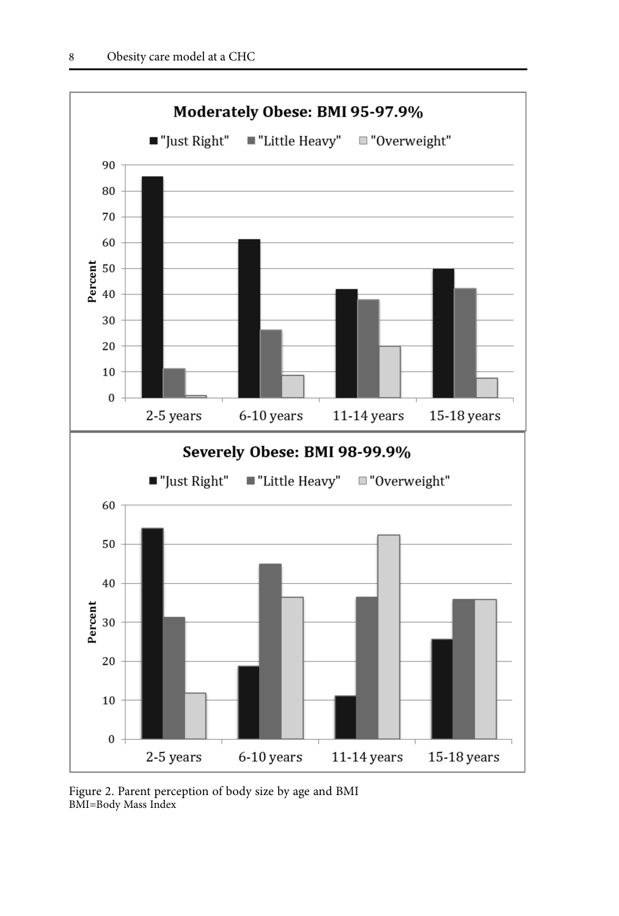

Figure 2. Parent perception of body size by age and BMI BMI=Body Mass Index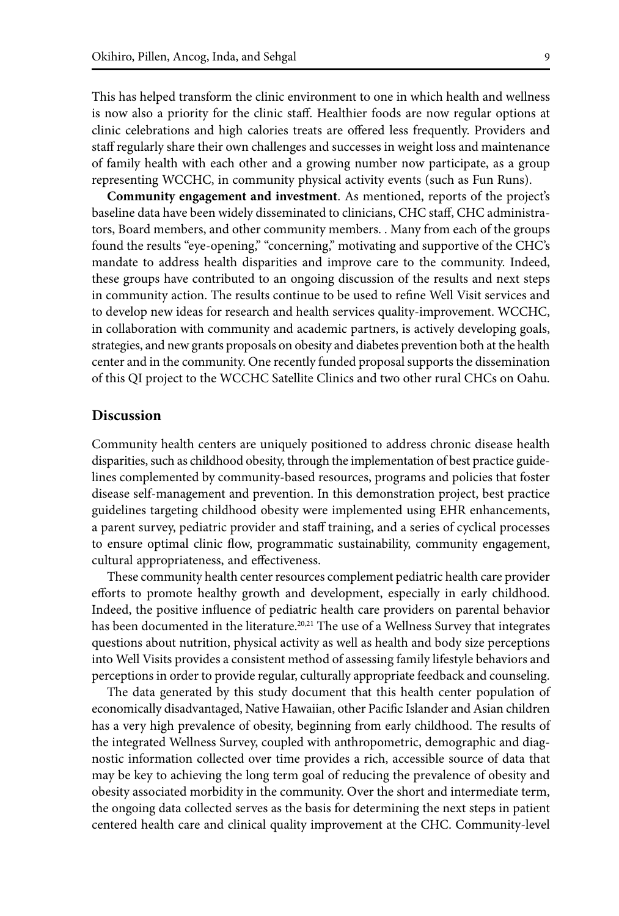This has helped transform the clinic environment to one in which health and wellness is now also a priority for the clinic staff. Healthier foods are now regular options at clinic celebrations and high calories treats are offered less frequently. Providers and staff regularly share their own challenges and successes in weight loss and maintenance of family health with each other and a growing number now participate, as a group representing WCCHC, in community physical activity events (such as Fun Runs).

**Community engagement and investment**. As mentioned, reports of the project's baseline data have been widely disseminated to clinicians, CHC staff, CHC administrators, Board members, and other community members. . Many from each of the groups found the results "eye- opening," "concerning," motivating and supportive of the CHC's mandate to address health disparities and improve care to the community. Indeed, these groups have contributed to an ongoing discussion of the results and next steps in community action. The results continue to be used to refine Well Visit services and to develop new ideas for research and health services quality- improvement. WCCHC, in collaboration with community and academic partners, is actively developing goals, strategies, and new grants proposals on obesity and diabetes prevention both at the health center and in the community. One recently funded proposal supports the dissemination of this QI project to the WCCHC Satellite Clinics and two other rural CHCs on Oahu.

#### **Discussion**

Community health centers are uniquely positioned to address chronic disease health disparities, such as childhood obesity, through the implementation of best practice guidelines complemented by community- based resources, programs and policies that foster disease self- management and prevention. In this demonstration project, best practice guidelines targeting childhood obesity were implemented using EHR enhancements, a parent survey, pediatric provider and staff training, and a series of cyclical processes to ensure optimal clinic flow, programmatic sustainability, community engagement, cultural appropriateness, and effectiveness.

These community health center resources complement pediatric health care provider efforts to promote healthy growth and development, especially in early childhood. Indeed, the positive influence of pediatric health care providers on parental behavior has been documented in the literature.<sup>20,21</sup> The use of a Wellness Survey that integrates questions about nutrition, physical activity as well as health and body size perceptions into Well Visits provides a consistent method of assessing family lifestyle behaviors and perceptions in order to provide regular, culturally appropriate feedback and counseling.

The data generated by this study document that this health center population of economically disadvantaged, Native Hawaiian, other Pacific Islander and Asian children has a very high prevalence of obesity, beginning from early childhood. The results of the integrated Wellness Survey, coupled with anthropometric, demographic and diagnostic information collected over time provides a rich, accessible source of data that may be key to achieving the long term goal of reducing the prevalence of obesity and obesity associated morbidity in the community. Over the short and intermediate term, the ongoing data collected serves as the basis for determining the next steps in patient centered health care and clinical quality improvement at the CHC. Community- level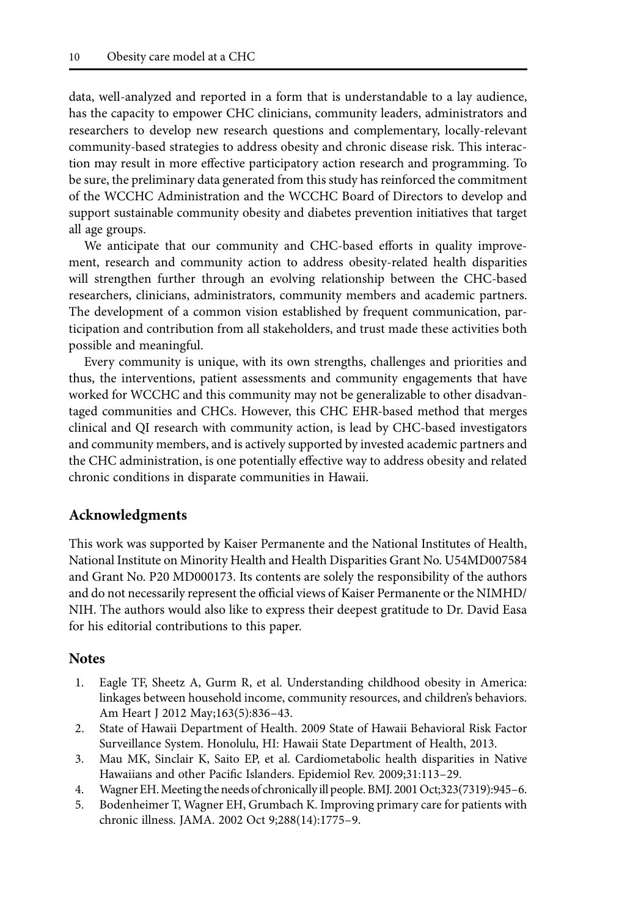data, well- analyzed and reported in a form that is understandable to a lay audience, has the capacity to empower CHC clinicians, community leaders, administrators and researchers to develop new research questions and complementary, locally- relevant community- based strategies to address obesity and chronic disease risk. This interaction may result in more effective participatory action research and programming. To be sure, the preliminary data generated from this study has reinforced the commitment of the WCCHC Administration and the WCCHC Board of Directors to develop and support sustainable community obesity and diabetes prevention initiatives that target all age groups.

We anticipate that our community and CHC-based efforts in quality improvement, research and community action to address obesity- related health disparities will strengthen further through an evolving relationship between the CHC-based researchers, clinicians, administrators, community members and academic partners. The development of a common vision established by frequent communication, participation and contribution from all stakeholders, and trust made these activities both possible and meaningful.

Every community is unique, with its own strengths, challenges and priorities and thus, the interventions, patient assessments and community engagements that have worked for WCCHC and this community may not be generalizable to other disadvantaged communities and CHCs. However, this CHC EHR- based method that merges clinical and QI research with community action, is lead by CHC- based investigators and community members, and is actively supported by invested academic partners and the CHC administration, is one potentially effective way to address obesity and related chronic conditions in disparate communities in Hawaii.

#### **Acknowledgments**

This work was supported by Kaiser Permanente and the National Institutes of Health, National Institute on Minority Health and Health Disparities Grant No. U54MD007584 and Grant No. P20 MD000173. Its contents are solely the responsibility of the authors and do not necessarily represent the official views of Kaiser Permanente or the NIMHD/ NIH. The authors would also like to express their deepest gratitude to Dr. David Easa for his editorial contributions to this paper.

#### **Notes**

- 1. Eagle TF, Sheetz A, Gurm R, et al. Understanding childhood obesity in America: linkages between household income, community resources, and children's behaviors. Am Heart J 2012 May;163(5):836–43.
- 2. State of Hawaii Department of Health. 2009 State of Hawaii Behavioral Risk Factor Surveillance System. Honolulu, HI: Hawaii State Department of Health, 2013.
- 3. Mau MK, Sinclair K, Saito EP, et al. Cardiometabolic health disparities in Native Hawaiians and other Pacific Islanders. Epidemiol Rev. 2009;31:113-29.
- 4. Wagner EH. Meeting the needs of chronically ill people. BMJ. 2001 Oct;323(7319):945–6.
- 5. Bodenheimer T, Wagner EH, Grumbach K. Improving primary care for patients with chronic illness. JAMA. 2002 Oct 9;288(14):1775–9.